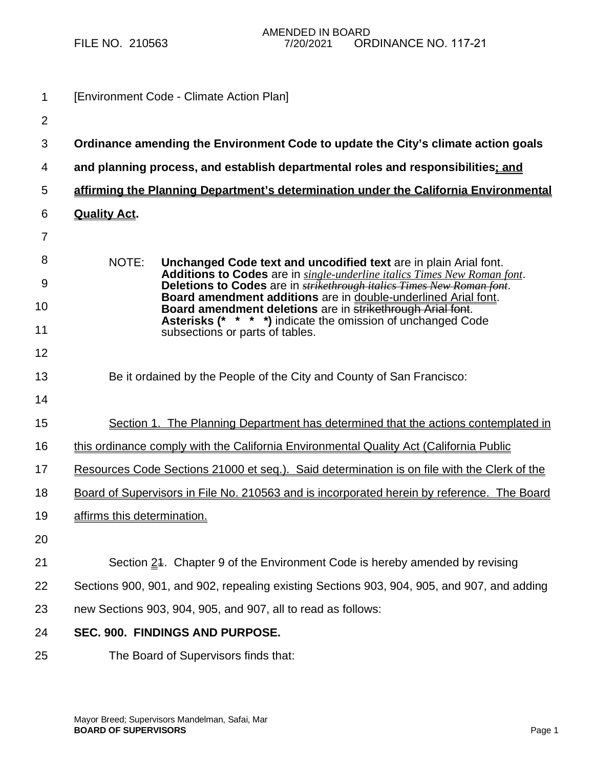| 1              | [Environment Code - Climate Action Plan]                                                                                                                  |
|----------------|-----------------------------------------------------------------------------------------------------------------------------------------------------------|
| $\overline{2}$ |                                                                                                                                                           |
| 3              | Ordinance amending the Environment Code to update the City's climate action goals                                                                         |
| 4              | and planning process, and establish departmental roles and responsibilities; and                                                                          |
| 5              | affirming the Planning Department's determination under the California Environmental                                                                      |
| 6              | <b>Quality Act.</b>                                                                                                                                       |
| $\overline{7}$ |                                                                                                                                                           |
| 8              | NOTE:<br>Unchanged Code text and uncodified text are in plain Arial font.                                                                                 |
| 9              | Additions to Codes are in single-underline italics Times New Roman font.<br>Deletions to Codes are in <i>strikethrough italies Times New Roman font</i> . |
| 10             | Board amendment additions are in double-underlined Arial font.<br>Board amendment deletions are in strikethrough Arial font.                              |
| 11             | <b>Asterisks (* * * *)</b> indicate the omission of unchanged Code<br>subsections or parts of tables.                                                     |
| 12             |                                                                                                                                                           |
| 13             | Be it ordained by the People of the City and County of San Francisco:                                                                                     |
| 14             |                                                                                                                                                           |
| 15             | Section 1. The Planning Department has determined that the actions contemplated in                                                                        |
| 16             | this ordinance comply with the California Environmental Quality Act (California Public                                                                    |
| 17             | Resources Code Sections 21000 et seq.). Said determination is on file with the Clerk of the                                                               |
| 18             | Board of Supervisors in File No. 210563 and is incorporated herein by reference. The Board                                                                |
| 19             | affirms this determination.                                                                                                                               |
| 20             |                                                                                                                                                           |
| 21             | Section 24. Chapter 9 of the Environment Code is hereby amended by revising                                                                               |
| 22             | Sections 900, 901, and 902, repealing existing Sections 903, 904, 905, and 907, and adding                                                                |
| 23             | new Sections 903, 904, 905, and 907, all to read as follows:                                                                                              |
| 24             | SEC. 900. FINDINGS AND PURPOSE.                                                                                                                           |
| 25             | The Board of Supervisors finds that:                                                                                                                      |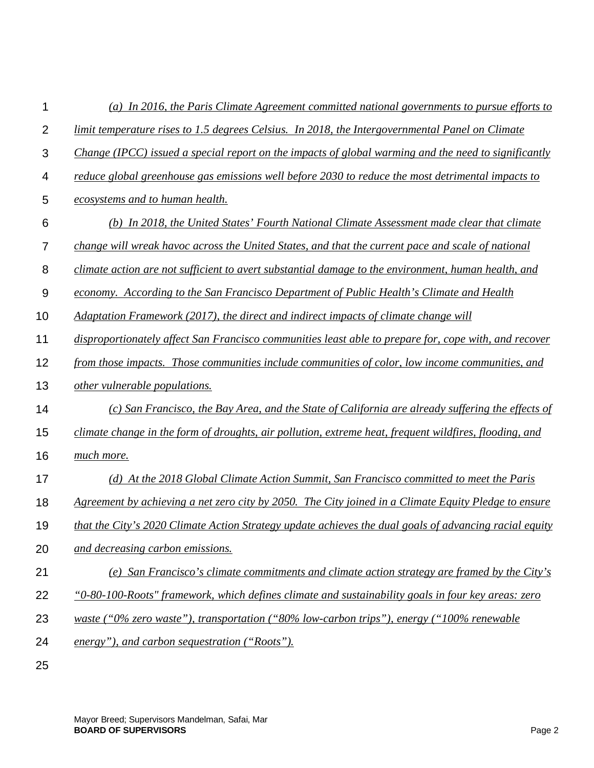| 1                | (a) In 2016, the Paris Climate Agreement committed national governments to pursue efforts to           |
|------------------|--------------------------------------------------------------------------------------------------------|
| $\overline{2}$   | limit temperature rises to 1.5 degrees Celsius. In 2018, the Intergovernmental Panel on Climate        |
| 3                | Change (IPCC) issued a special report on the impacts of global warming and the need to significantly   |
| 4                | reduce global greenhouse gas emissions well before 2030 to reduce the most detrimental impacts to      |
| 5                | ecosystems and to human health.                                                                        |
| 6                | (b) In 2018, the United States' Fourth National Climate Assessment made clear that climate             |
| $\overline{7}$   | change will wreak havoc across the United States, and that the current pace and scale of national      |
| 8                | climate action are not sufficient to avert substantial damage to the environment, human health, and    |
| $\boldsymbol{9}$ | economy. According to the San Francisco Department of Public Health's Climate and Health               |
| 10               | Adaptation Framework (2017), the direct and indirect impacts of climate change will                    |
| 11               | disproportionately affect San Francisco communities least able to prepare for, cope with, and recover  |
| 12               | from those impacts. Those communities include communities of color, low income communities, and        |
| 13               | other vulnerable populations.                                                                          |
| 14               | (c) San Francisco, the Bay Area, and the State of California are already suffering the effects of      |
| 15               | climate change in the form of droughts, air pollution, extreme heat, frequent wildfires, flooding, and |
| 16               | much more.                                                                                             |
| 17               | (d) At the 2018 Global Climate Action Summit, San Francisco committed to meet the Paris                |
| 18               | Agreement by achieving a net zero city by 2050. The City joined in a Climate Equity Pledge to ensure   |
| 19               | that the City's 2020 Climate Action Strategy update achieves the dual goals of advancing racial equity |
| 20               | and decreasing carbon emissions.                                                                       |
| 21               | (e) San Francisco's climate commitments and climate action strategy are framed by the City's           |
| 22               | "0-80-100-Roots" framework, which defines climate and sustainability goals in four key areas: zero     |
| 23               | waste (" $0\%$ zero waste"), transportation (" $80\%$ low-carbon trips"), energy (" $100\%$ renewable  |
| 24               | energy"), and carbon sequestration ("Roots").                                                          |
| 25               |                                                                                                        |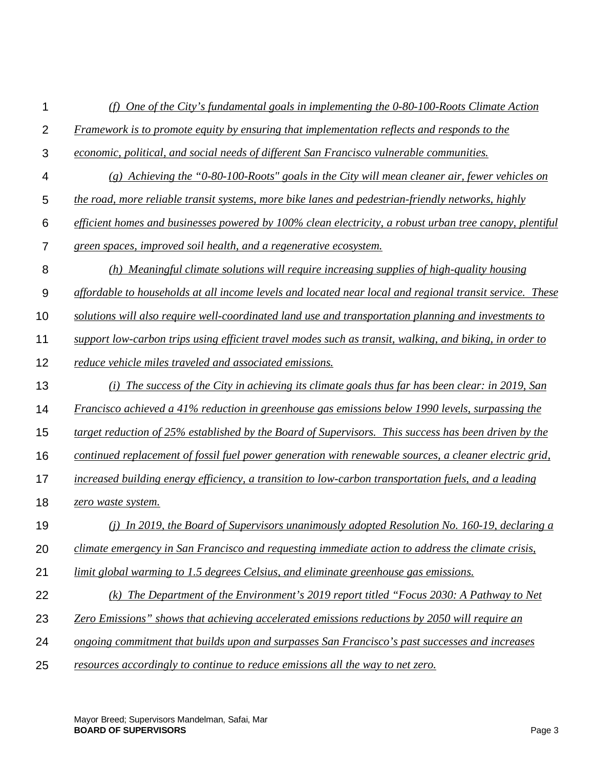| 1              | (f) One of the City's fundamental goals in implementing the $0-80-100$ -Roots Climate Action             |
|----------------|----------------------------------------------------------------------------------------------------------|
| $\overline{2}$ | <b>Framework is to promote equity by ensuring that implementation reflects and responds to the</b>       |
| 3              | economic, political, and social needs of different San Francisco vulnerable communities.                 |
| 4              | $(g)$ Achieving the "0-80-100-Roots" goals in the City will mean cleaner air, fewer vehicles on          |
| 5              | the road, more reliable transit systems, more bike lanes and pedestrian-friendly networks, highly        |
| 6              | efficient homes and businesses powered by 100% clean electricity, a robust urban tree canopy, plentiful  |
| $\overline{7}$ | green spaces, improved soil health, and a regenerative ecosystem.                                        |
| 8              | (h) Meaningful climate solutions will require increasing supplies of high-quality housing                |
| $9\,$          | affordable to households at all income levels and located near local and regional transit service. These |
| 10             | solutions will also require well-coordinated land use and transportation planning and investments to     |
| 11             | support low-carbon trips using efficient travel modes such as transit, walking, and biking, in order to  |
| 12             | reduce vehicle miles traveled and associated emissions.                                                  |
| 13             | (i) The success of the City in achieving its climate goals thus far has been clear: in 2019, San         |
| 14             | Francisco achieved a 41% reduction in greenhouse gas emissions below 1990 levels, surpassing the         |
| 15             | target reduction of 25% established by the Board of Supervisors. This success has been driven by the     |
| 16             | continued replacement of fossil fuel power generation with renewable sources, a cleaner electric grid,   |
| 17             | increased building energy efficiency, a transition to low-carbon transportation fuels, and a leading     |
| 18             | zero waste system.                                                                                       |
| 19             | (j) In 2019, the Board of Supervisors unanimously adopted Resolution No. 160-19, declaring a             |
| 20             | climate emergency in San Francisco and requesting immediate action to address the climate crisis,        |
| 21             | limit global warming to 1.5 degrees Celsius, and eliminate greenhouse gas emissions.                     |
| 22             | (k) The Department of the Environment's 2019 report titled "Focus 2030: A Pathway to Net                 |
| 23             | <b>Zero Emissions</b> " shows that achieving accelerated emissions reductions by 2050 will require an    |
| 24             | ongoing commitment that builds upon and surpasses San Francisco's past successes and increases           |
| 25             | resources accordingly to continue to reduce emissions all the way to net zero.                           |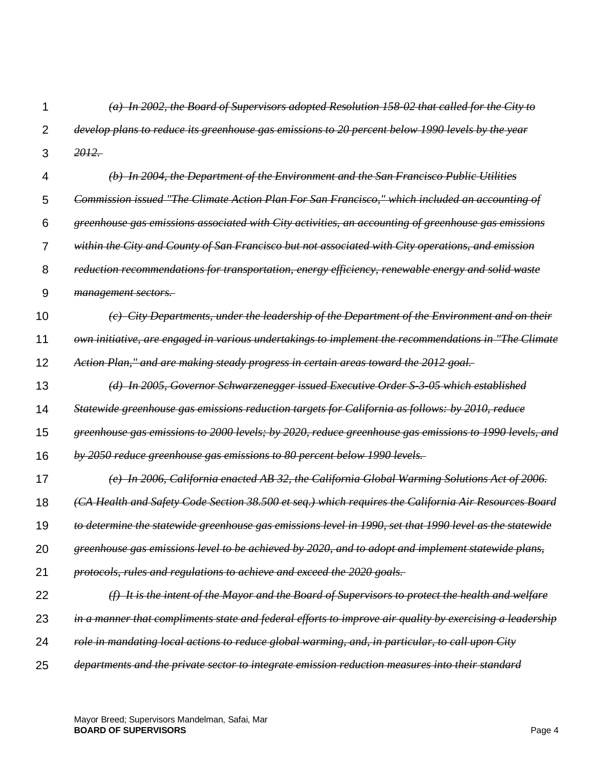1  $\mathfrak{p}$ 3 4 5 6 7 8 9 10 11 12 13 14 15 16 17 18 19 20 21 22 23 24 25 *(a) In 2002, the Board of Supervisors adopted Resolution 158-02 that called for the City to develop plans to reduce its greenhouse gas emissions to 20 percent below 1990 levels by the year 2012. (b) In 2004, the Department of the Environment and the San Francisco Public Utilities Commission issued "The Climate Action Plan For San Francisco," which included an accounting of greenhouse gas emissions associated with City activities, an accounting of greenhouse gas emissions within the City and County of San Francisco but not associated with City operations, and emission reduction recommendations for transportation, energy efficiency, renewable energy and solid waste management sectors. (c) City Departments, under the leadership of the Department of the Environment and on their own initiative, are engaged in various undertakings to implement the recommendations in "The Climate Action Plan," and are making steady progress in certain areas toward the 2012 goal. (d) In 2005, Governor Schwarzenegger issued Executive Order S-3-05 which established Statewide greenhouse gas emissions reduction targets for California as follows: by 2010, reduce greenhouse gas emissions to 2000 levels; by 2020, reduce greenhouse gas emissions to 1990 levels, and by 2050 reduce greenhouse gas emissions to 80 percent below 1990 levels. (e) In 2006, California enacted AB 32, the California Global Warming Solutions Act of 2006. (CA Health and Safety Code Section 38.500 et seq.) which requires the California Air Resources Board to determine the statewide greenhouse gas emissions level in 1990, set that 1990 level as the statewide greenhouse gas emissions level to be achieved by 2020, and to adopt and implement statewide plans, protocols, rules and regulations to achieve and exceed the 2020 goals. (f) It is the intent of the Mayor and the Board of Supervisors to protect the health and welfare in a manner that compliments state and federal efforts to improve air quality by exercising a leadership role in mandating local actions to reduce global warming, and, in particular, to call upon City departments and the private sector to integrate emission reduction measures into their standard*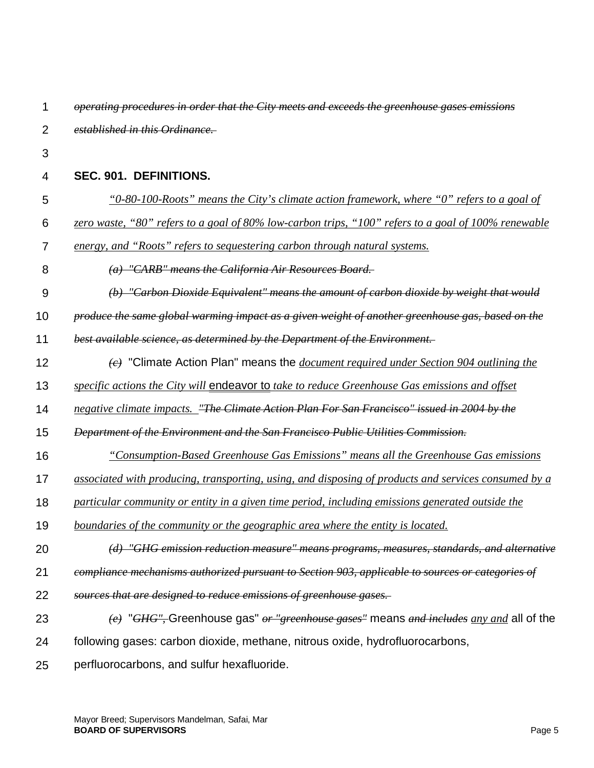| 1              | operating procedures in order that the City meets and exceeds the greenhouse gases emissions                           |
|----------------|------------------------------------------------------------------------------------------------------------------------|
| $\overline{2}$ | established in this Ordinance.                                                                                         |
| 3              |                                                                                                                        |
| 4              | SEC. 901. DEFINITIONS.                                                                                                 |
| 5              | <u>"0-80-100-Roots" means the City's climate action framework, where "0" refers to a goal of</u>                       |
| 6              | zero waste, "80" refers to a goal of 80% low-carbon trips, "100" refers to a goal of 100% renewable                    |
| 7              | energy, and "Roots" refers to sequestering carbon through natural systems.                                             |
| 8              | (a) "CARB" means the California Air Resources Board.                                                                   |
| 9              | (b) "Carbon Dioxide Equivalent" means the amount of carbon dioxide by weight that would                                |
| 10             | produce the same global warming impact as a given weight of another greenhouse gas, based on the                       |
| 11             | best available science, as determined by the Department of the Environment.                                            |
| 12             | $\left\langle e\right\rangle$ "Climate Action Plan" means the <i>document required under Section 904 outlining the</i> |
| 13             | specific actions the City will endeavor to take to reduce Greenhouse Gas emissions and offset                          |
| 14             | negative climate impacts. "The Climate Action Plan For San Francisco" issued in 2004 by the                            |
| 15             | Department of the Environment and the San Francisco Public Utilities Commission.                                       |
| 16             | "Consumption-Based Greenhouse Gas Emissions" means all the Greenhouse Gas emissions                                    |
| 17             | associated with producing, transporting, using, and disposing of products and services consumed by a                   |
| 18             | particular community or entity in a given time period, including emissions generated outside the                       |
| 19             | <u>boundaries of the community or the geographic area where the entity is located.</u>                                 |
| 20             | (d) "GHG emission reduction measure" means programs, measures, standards, and alternative                              |
| 21             | compliance mechanisms authorized pursuant to Section 903, applicable to sources or categories of                       |
| 22             | sources that are designed to reduce emissions of greenhouse gases.                                                     |
| 23             | $\langle e \rangle$ "GHG", Greenhouse gas" or "greenhouse gases" means and includes any and all of the                 |
| 24             | following gases: carbon dioxide, methane, nitrous oxide, hydrofluorocarbons,                                           |
| 25             | perfluorocarbons, and sulfur hexafluoride.                                                                             |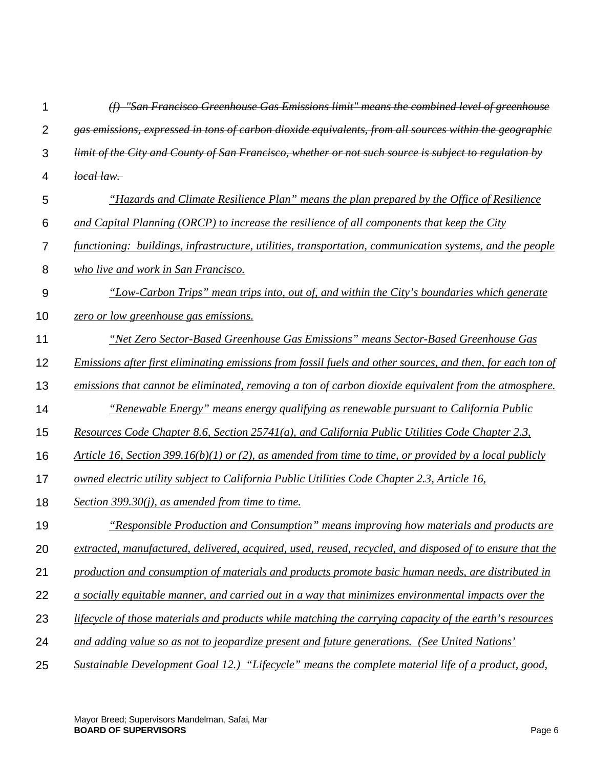| 1              | "San Francisco Greenhouse Gas Emissions limit" means the combined level of greenhouse                      |
|----------------|------------------------------------------------------------------------------------------------------------|
| $\overline{2}$ | gas emissions, expressed in tons of carbon dioxide equivalents, from all sources within the geographic     |
| 3              | limit of the City and County of San Francisco, whether or not such source is subject to regulation by      |
| 4              | local law.                                                                                                 |
| 5              | "Hazards and Climate Resilience Plan" means the plan prepared by the Office of Resilience                  |
| 6              | and Capital Planning (ORCP) to increase the resilience of all components that keep the City                |
| $\overline{7}$ | functioning: buildings, infrastructure, utilities, transportation, communication systems, and the people   |
| 8              | who live and work in San Francisco.                                                                        |
| $9$            | "Low-Carbon Trips" mean trips into, out of, and within the City's boundaries which generate                |
| 10             | zero or low greenhouse gas emissions.                                                                      |
| 11             | "Net Zero Sector-Based Greenhouse Gas Emissions" means Sector-Based Greenhouse Gas                         |
| 12             | Emissions after first eliminating emissions from fossil fuels and other sources, and then, for each ton of |
| 13             | emissions that cannot be eliminated, removing a ton of carbon dioxide equivalent from the atmosphere.      |
| 14             | <i>"Renewable Energy" means energy qualifying as renewable pursuant to California Public</i>               |
| 15             | <u>Resources Code Chapter 8.6, Section 25741(a), and California Public Utilities Code Chapter 2.3,</u>     |
| 16             | Article 16, Section 399.16(b)(1) or (2), as amended from time to time, or provided by a local publicly     |
| 17             | <u>owned electric utility subject to California Public Utilities Code Chapter 2.3, Article 16,</u>         |
| 18             | Section 399.30 $(i)$ , as amended from time to time.                                                       |
| 19             | "Responsible Production and Consumption" means improving how materials and products are                    |
| 20             | extracted, manufactured, delivered, acquired, used, reused, recycled, and disposed of to ensure that the   |
| 21             | production and consumption of materials and products promote basic human needs, are distributed in         |
| 22             | a socially equitable manner, and carried out in a way that minimizes environmental impacts over the        |
| 23             | lifecycle of those materials and products while matching the carrying capacity of the earth's resources    |
| 24             | and adding value so as not to jeopardize present and future generations. (See United Nations'              |
| 25             | Sustainable Development Goal 12.) "Lifecycle" means the complete material life of a product, good,         |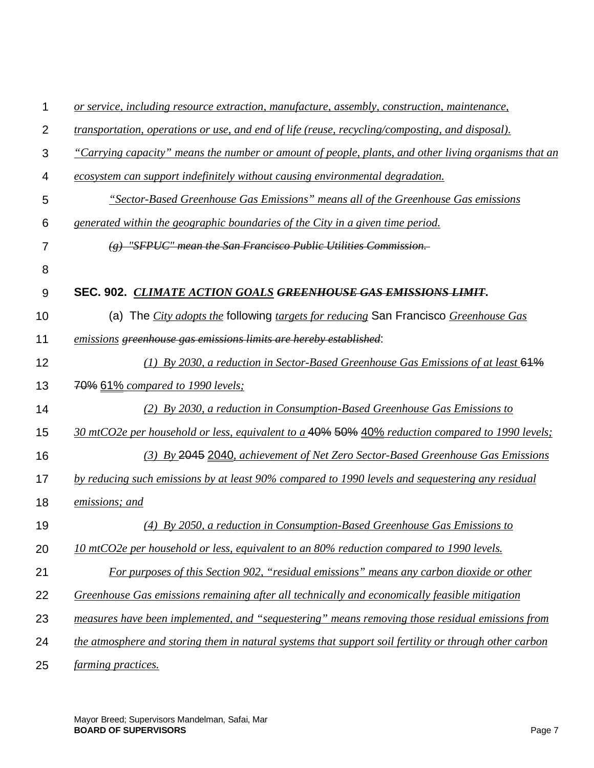| 1              | or service, including resource extraction, manufacture, assembly, construction, maintenance,             |
|----------------|----------------------------------------------------------------------------------------------------------|
| $\overline{2}$ | <i>transportation, operations or use, and end of life (reuse, recycling/composting, and disposal).</i>   |
| 3              | "Carrying capacity" means the number or amount of people, plants, and other living organisms that an     |
| 4              | <u>ecosystem can support indefinitely without causing environmental degradation.</u>                     |
| 5              | "Sector-Based Greenhouse Gas Emissions" means all of the Greenhouse Gas emissions                        |
| 6              | generated within the geographic boundaries of the City in a given time period.                           |
| 7              | $(g)$ "SFPUC" mean the San Francisco Public Utilities Commission.                                        |
| 8              |                                                                                                          |
| 9              | SEC. 902. CLIMATE ACTION GOALS GREENHOUSE GAS EMISSIONS LIMIT.                                           |
| 10             | (a) The <i>City adopts the</i> following <i>targets for reducing</i> San Francisco <i>Greenhouse Gas</i> |
| 11             | emissions greenhouse gas emissions limits are hereby established:                                        |
| 12             | (1) By 2030, a reduction in Sector-Based Greenhouse Gas Emissions of at least $64\%$                     |
| 13             | <b>70% 61%</b> compared to 1990 levels;                                                                  |
| 14             | (2) By 2030, a reduction in Consumption-Based Greenhouse Gas Emissions to                                |
| 15             | 30 mtCO2e per household or less, equivalent to a 40% 50% 40% reduction compared to 1990 levels;          |
| 16             | (3) By 2045 2040, achievement of Net Zero Sector-Based Greenhouse Gas Emissions                          |
| 17             | by reducing such emissions by at least 90% compared to 1990 levels and sequestering any residual         |
| 18             | emissions; and                                                                                           |
| 19             | (4) By 2050, a reduction in Consumption-Based Greenhouse Gas Emissions to                                |
| 20             | <u>10 mtCO2e per household or less, equivalent to an 80% reduction compared to 1990 levels.</u>          |
| 21             | For purposes of this Section 902, "residual emissions" means any carbon dioxide or other                 |
| 22             | Greenhouse Gas emissions remaining after all technically and economically feasible mitigation            |
| 23             | measures have been implemented, and "sequestering" means removing those residual emissions from          |
| 24             | the atmosphere and storing them in natural systems that support soil fertility or through other carbon   |
| 25             | farming practices.                                                                                       |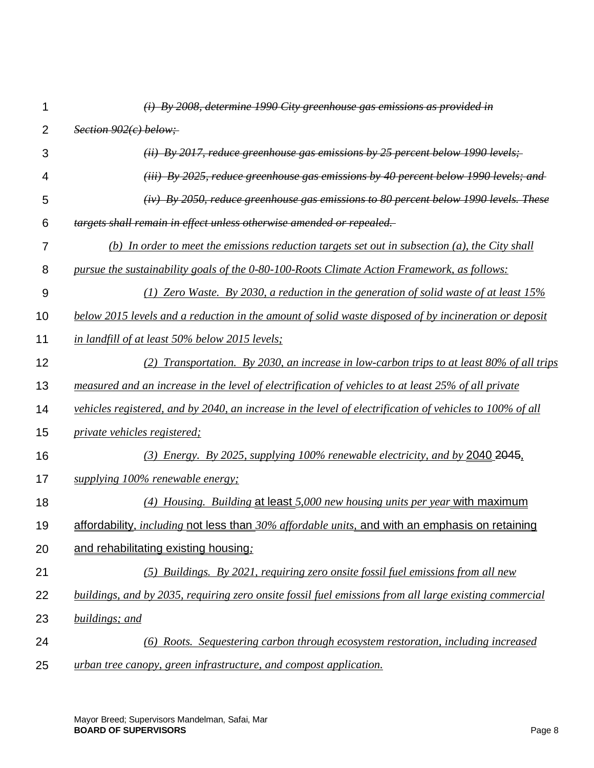| 1              | $(i)$ By 2008, determine 1990 City greenhouse gas emissions as provided in                               |
|----------------|----------------------------------------------------------------------------------------------------------|
| $\overline{2}$ | Section 902(c) below;                                                                                    |
| 3              | (ii) By 2017, reduce greenhouse gas emissions by 25 percent below 1990 levels;                           |
| 4              | $(iii)$ By 2025, reduce greenhouse gas emissions by 40 percent below 1990 levels; and                    |
| 5              | $(iv)$ By 2050, reduce greenhouse gas emissions to 80 percent below 1990 levels. These                   |
| 6              | targets shall remain in effect unless otherwise amended or repealed.                                     |
| 7              | (b) In order to meet the emissions reduction targets set out in subsection (a), the City shall           |
| 8              | pursue the sustainability goals of the 0-80-100-Roots Climate Action Framework, as follows:              |
| 9              | (1) Zero Waste. By 2030, a reduction in the generation of solid waste of at least $15\%$                 |
| 10             | below 2015 levels and a reduction in the amount of solid waste disposed of by incineration or deposit    |
| 11             | in landfill of at least 50% below 2015 levels;                                                           |
| 12             | (2) Transportation. By 2030, an increase in low-carbon trips to at least $80\%$ of all trips             |
| 13             | measured and an increase in the level of electrification of vehicles to at least 25% of all private      |
| 14             | vehicles registered, and by 2040, an increase in the level of electrification of vehicles to 100% of all |
| 15             | <i>private vehicles registered;</i>                                                                      |
| 16             | (3) Energy. By 2025, supplying 100% renewable electricity, and by 2040 2045.                             |
| 17             | supplying 100% renewable energy;                                                                         |
| 18             | (4) Housing. Building at least 5,000 new housing units per year with maximum                             |
| 19             | affordability, <i>including</i> not less than 30% affordable units, and with an emphasis on retaining    |
| 20             | and rehabilitating existing housing.                                                                     |
| 21             | (5) Buildings. By 2021, requiring zero onsite fossil fuel emissions from all new                         |
| 22             | buildings, and by 2035, requiring zero onsite fossil fuel emissions from all large existing commercial   |
| 23             | buildings; and                                                                                           |
| 24             | (6) Roots. Sequestering carbon through ecosystem restoration, including increased                        |
| 25             | urban tree canopy, green infrastructure, and compost application.                                        |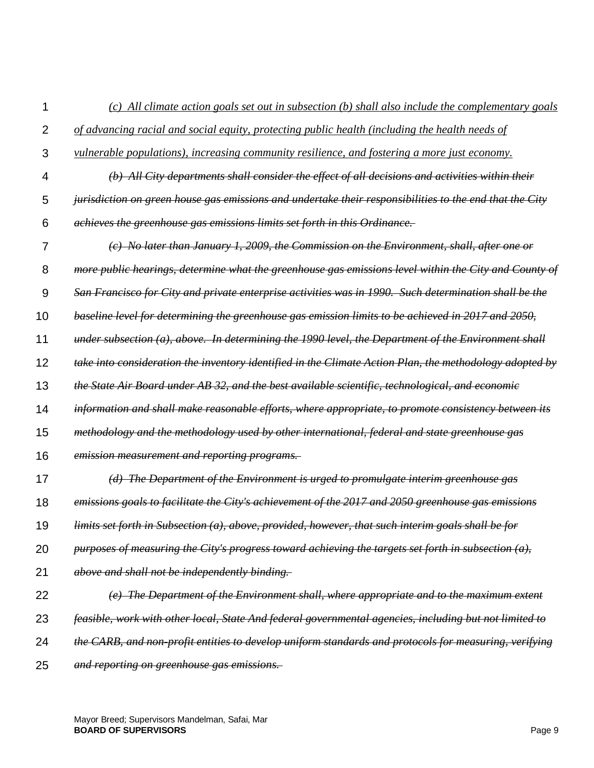4 5 6 7 8 9 10 11 12 13 14 15 16 17 *(b) All City departments shall consider the effect of all decisions and activities within their jurisdiction on green house gas emissions and undertake their responsibilities to the end that the City achieves the greenhouse gas emissions limits set forth in this Ordinance. (c) No later than January 1, 2009, the Commission on the Environment, shall, after one or more public hearings, determine what the greenhouse gas emissions level within the City and County of San Francisco for City and private enterprise activities was in 1990. Such determination shall be the baseline level for determining the greenhouse gas emission limits to be achieved in 2017 and 2050, under subsection (a), above. In determining the 1990 level, the Department of the Environment shall take into consideration the inventory identified in the Climate Action Plan, the methodology adopted by the State Air Board under AB 32, and the best available scientific, technological, and economic information and shall make reasonable efforts, where appropriate, to promote consistency between its methodology and the methodology used by other international, federal and state greenhouse gas emission measurement and reporting programs. (d) The Department of the Environment is urged to promulgate interim greenhouse gas* 

*(c) All climate action goals set out in subsection (b) shall also include the complementary goals* 

*of advancing racial and social equity, protecting public health (including the health needs of* 

*vulnerable populations), increasing community resilience, and fostering a more just economy.*

- 18 *emissions goals to facilitate the City's achievement of the 2017 and 2050 greenhouse gas emissions*
- 19 *limits set forth in Subsection (a), above, provided, however, that such interim goals shall be for*
- 20 *purposes of measuring the City's progress toward achieving the targets set forth in subsection (a),*
- 21 *above and shall not be independently binding.*

1

 $\mathfrak{p}$ 

3

- 22 *(e) The Department of the Environment shall, where appropriate and to the maximum extent*
- 23 *feasible, work with other local, State And federal governmental agencies, including but not limited to*
- 24 *the CARB, and non-profit entities to develop uniform standards and protocols for measuring, verifying*
- 25 *and reporting on greenhouse gas emissions.*

Mayor Breed; Supervisors Mandelman, Safai, Mar **BOARD OF SUPERVISORS** Page 9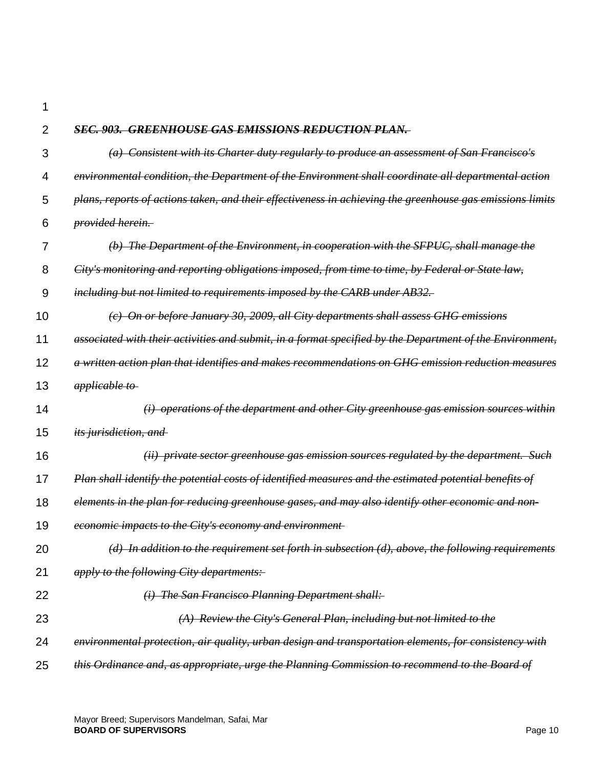1

| $\overline{2}$ | <b>SEC. 903. GREENHOUSE GAS EMISSIONS REDUCTION PLAN.</b>                                                 |
|----------------|-----------------------------------------------------------------------------------------------------------|
| 3              | (a) Consistent with its Charter duty regularly to produce an assessment of San Francisco's                |
| 4              | environmental condition, the Department of the Environment shall coordinate all departmental action       |
| 5              | plans, reports of actions taken, and their effectiveness in achieving the greenhouse gas emissions limits |
| 6              | provided herein.                                                                                          |
| 7              | $(b)$ The Department of the Environment, in cooperation with the SFPUC, shall manage the                  |
| 8              | City's monitoring and reporting obligations imposed, from time to time, by Federal or State law,          |
| 9              | including but not limited to requirements imposed by the CARB under AB32.                                 |
| 10             | (c) On or before January 30, 2009, all City departments shall assess GHG emissions                        |
| 11             | associated with their activities and submit, in a format specified by the Department of the Environment,  |
| 12             | a written action plan that identifies and makes recommendations on GHG emission reduction measures        |
| 13             | applicable to                                                                                             |
| 14             | $(i)$ operations of the department and other City greenhouse gas emission sources within                  |
| 15             | its jurisdiction, and                                                                                     |
| 16             | (ii) private sector greenhouse gas emission sources regulated by the department. Such                     |
| 17             | Plan shall identify the potential costs of identified measures and the estimated potential benefits of    |
| 18             | elements in the plan for reducing greenhouse gases, and may also identify other economic and non-         |
| 19             | economic impacts to the City's economy and environment-                                                   |
| 20             | $(d)$ In addition to the requirement set forth in subsection $(d)$ , above, the following requirements    |
| 21             | apply to the following City departments:                                                                  |
| 22             | (i) The San Francisco Planning Department shall:                                                          |
| 23             | $(A)$ Review the City's General Plan, including but not limited to the                                    |
| 24             | environmental protection, air quality, urban design and transportation elements, for consistency with     |
| 25             | this Ordinance and, as appropriate, urge the Planning Commission to recommend to the Board of             |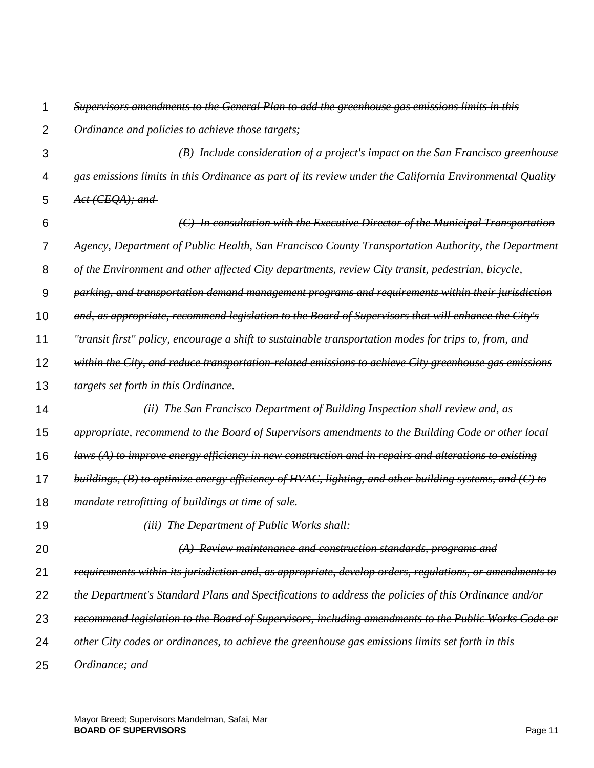| 1              | Supervisors amendments to the General Plan to add the greenhouse gas emissions limits in this           |
|----------------|---------------------------------------------------------------------------------------------------------|
| $\overline{2}$ | Ordinance and policies to achieve those targets;                                                        |
| 3              | (B) Include consideration of a project's impact on the San Francisco greenhouse                         |
| 4              | gas emissions limits in this Ordinance as part of its review under the California Environmental Quality |
| 5              | Act (CEQA); and                                                                                         |
| 6              | (C) In consultation with the Executive Director of the Municipal Transportation                         |
| 7              | Agency, Department of Public Health, San Francisco County Transportation Authority, the Department      |
| 8              | of the Environment and other affected City departments, review City transit, pedestrian, bicycle,       |
| 9              | parking, and transportation demand management programs and requirements within their jurisdiction       |
| 10             | and, as appropriate, recommend legislation to the Board of Supervisors that will enhance the City's     |
| 11             | "transit first" policy, encourage a shift to sustainable transportation modes for trips to, from, and   |
| 12             | within the City, and reduce transportation-related emissions to achieve City greenhouse gas emissions   |
| 13             | targets set forth in this Ordinance.                                                                    |
| 14             | (ii) The San Francisco Department of Building Inspection shall review and, as                           |
| 15             | appropriate, recommend to the Board of Supervisors amendments to the Building Code or other local       |
| 16             | $laws (A)$ to improve energy efficiency in new construction and in repairs and alterations to existing  |
| 17             | buildings, (B) to optimize energy efficiency of HVAC, lighting, and other building systems, and (C) to  |
| 18             | <i>mandate retrofitting of buildings at time of sale.</i>                                               |
| 19             | (iii) The Department of Public Works shall:                                                             |
| 20             | (A) Review maintenance and construction standards, programs and                                         |
| 21             | requirements within its jurisdiction and, as appropriate, develop orders, regulations, or amendments to |
| 22             | the Department's Standard Plans and Specifications to address the policies of this Ordinance and/or     |
| 23             | recommend legislation to the Board of Supervisors, including amendments to the Public Works Code or     |
| 24             | other City codes or ordinances, to achieve the greenhouse gas emissions limits set forth in this        |
| 25             | Ordinance; and                                                                                          |

Mayor Breed; Supervisors Mandelman, Safai, Mar **BOARD OF SUPERVISORS** Page 11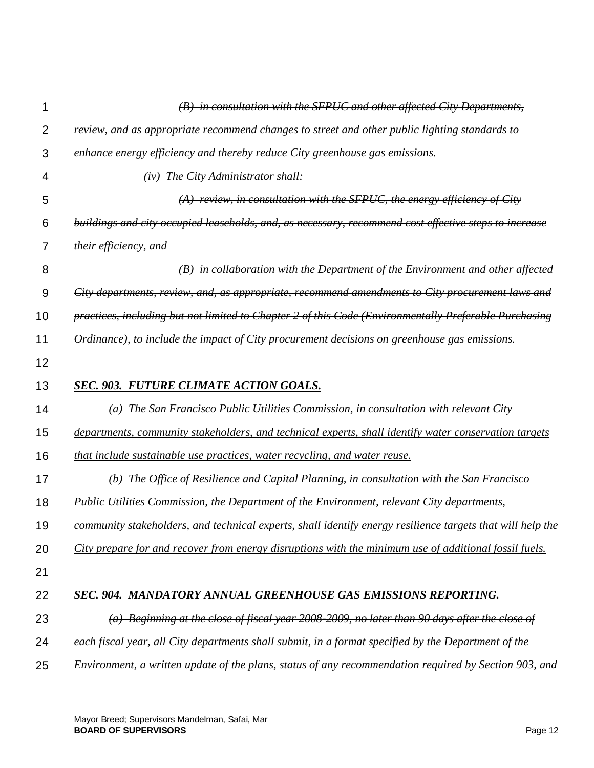| 1  | (B) in consultation with the SFPUC and other affected City Departments,                                    |
|----|------------------------------------------------------------------------------------------------------------|
| 2  | review, and as appropriate recommend changes to street and other public lighting standards to              |
| 3  | enhance energy efficiency and thereby reduce City greenhouse gas emissions.                                |
| 4  | $(iv)$ The City Administrator shall:                                                                       |
| 5  | $(A)$ review, in consultation with the SFPUC, the energy efficiency of City                                |
| 6  | buildings and city occupied leascholds, and, as necessary, recommend cost effective steps to increase      |
| 7  | their efficiency, and                                                                                      |
| 8  | (B) in collaboration with the Department of the Environment and other affected                             |
| 9  | City departments, review, and, as appropriate, recommend amendments to City procurement laws and           |
| 10 | practices, including but not limited to Chapter 2 of this Code (Environmentally Preferable Purchasing      |
| 11 | Ordinance), to include the impact of City procurement decisions on greenhouse gas emissions.               |
| 12 |                                                                                                            |
| 13 | <b>SEC. 903. FUTURE CLIMATE ACTION GOALS.</b>                                                              |
| 14 | (a) The San Francisco Public Utilities Commission, in consultation with relevant City                      |
| 15 | departments, community stakeholders, and technical experts, shall identify water conservation targets      |
| 16 | that include sustainable use practices, water recycling, and water reuse.                                  |
| 17 | The Office of Resilience and Capital Planning, in consultation with the San Francisco<br>(b)               |
| 18 | <b>Public Utilities Commission, the Department of the Environment, relevant City departments,</b>          |
| 19 | community stakeholders, and technical experts, shall identify energy resilience targets that will help the |
| 20 | City prepare for and recover from energy disruptions with the minimum use of additional fossil fuels.      |
| 21 |                                                                                                            |
| 22 | SEC. 904. MANDATORY ANNUAL GREENHOUSE GAS EMISSIONS REPORTING.                                             |
| 23 | (a) Beginning at the close of fiscal year 2008-2009, no later than 90 days after the close of              |
| 24 | each fiscal year, all City departments shall submit, in a format specified by the Department of the        |
| 25 | Environment, a written update of the plans, status of any recommendation required by Section 903, and      |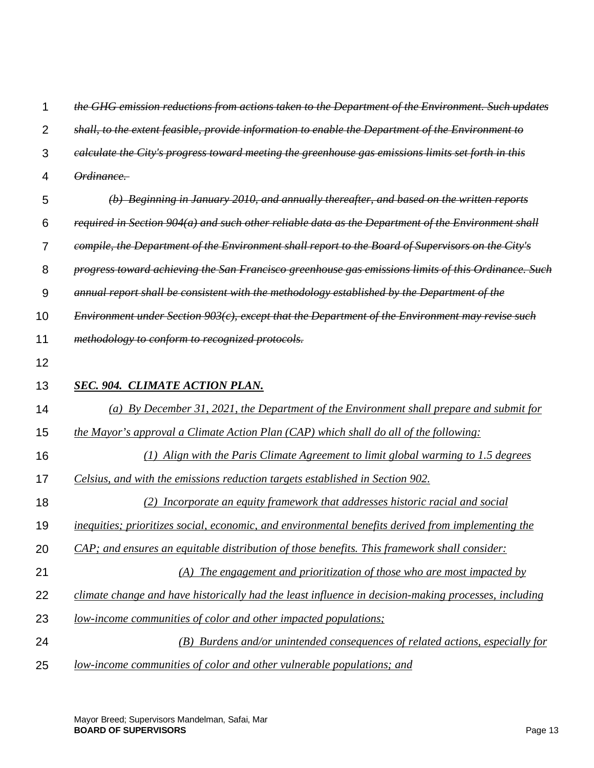| 1              | the GHG emission reductions from actions taken to the Department of the Environment. Such updates    |
|----------------|------------------------------------------------------------------------------------------------------|
| $\overline{2}$ | shall, to the extent feasible, provide information to enable the Department of the Environment to    |
| 3              | ealculate the City's progress toward meeting the greenhouse gas emissions limits set forth in this   |
| 4              | Ordinance.                                                                                           |
| 5              | (b) Beginning in January 2010, and annually thereafter, and based on the written reports             |
| 6              | required in Section 904(a) and such other reliable data as the Department of the Environment shall   |
| $\overline{7}$ | compile, the Department of the Environment shall report to the Board of Supervisors on the City's    |
| 8              | progress toward achieving the San Francisco greenhouse gas emissions limits of this Ordinance. Such  |
| 9              | annual report shall be consistent with the methodology established by the Department of the          |
| 10             | Environment under Section $903(c)$ , except that the Department of the Environment may revise such   |
| 11             | methodology to conform to recognized protocols.                                                      |
| 12             |                                                                                                      |
| 13             | <b>SEC. 904. CLIMATE ACTION PLAN.</b>                                                                |
| 14             | (a) By December 31, 2021, the Department of the Environment shall prepare and submit for             |
| 15             | the Mayor's approval a Climate Action Plan (CAP) which shall do all of the following:                |
| 16             | (1) Align with the Paris Climate Agreement to limit global warming to 1.5 degrees                    |
| 17             | Celsius, and with the emissions reduction targets established in Section 902.                        |
| 18             | (2) Incorporate an equity framework that addresses historic racial and social                        |
| 19             | inequities; prioritizes social, economic, and environmental benefits derived from implementing the   |
| 20             | CAP; and ensures an equitable distribution of those benefits. This framework shall consider:         |
| 21             | $(A)$ The engagement and prioritization of those who are most impacted by                            |
| 22             | climate change and have historically had the least influence in decision-making processes, including |
| 23             | <u>low-income communities of color and other impacted populations;</u>                               |
| 24             | (B) Burdens and/or unintended consequences of related actions, especially for                        |
| 25             | <u>low-income communities of color and other vulnerable populations; and</u>                         |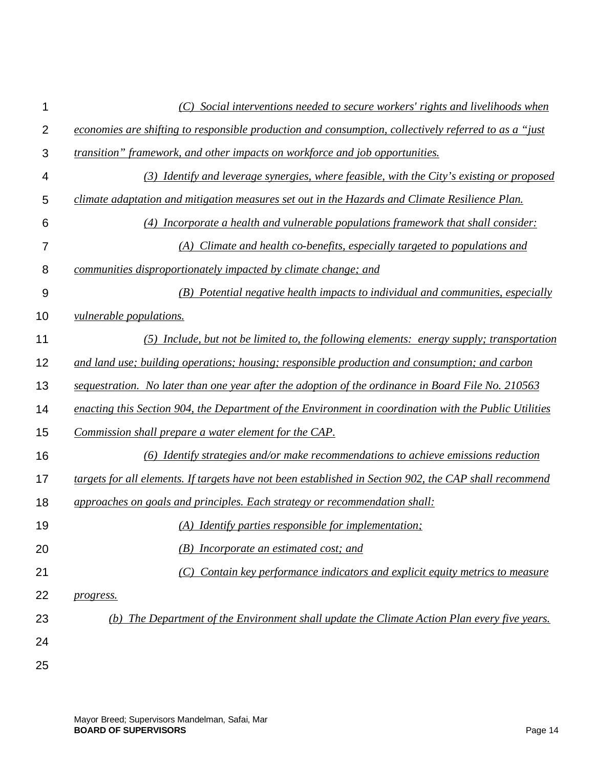|                | (C) Social interventions needed to secure workers' rights and livelihoods when                         |
|----------------|--------------------------------------------------------------------------------------------------------|
| $\overline{2}$ | economies are shifting to responsible production and consumption, collectively referred to as a "just  |
| 3              | transition" framework, and other impacts on workforce and job opportunities.                           |
| 4              | (3) Identify and leverage synergies, where feasible, with the City's existing or proposed              |
| 5              | climate adaptation and mitigation measures set out in the Hazards and Climate Resilience Plan.         |
| 6              | (4) Incorporate a health and vulnerable populations framework that shall consider:                     |
| 7              | (A) Climate and health co-benefits, especially targeted to populations and                             |
| 8              | communities disproportionately impacted by climate change; and                                         |
| 9              | (B) Potential negative health impacts to individual and communities, especially                        |
| 10             | <i>vulnerable populations.</i>                                                                         |
| 11             | $(5)$ Include, but not be limited to, the following elements: energy supply; transportation            |
| 12             | and land use; building operations; housing; responsible production and consumption; and carbon         |
| 13             | sequestration. No later than one year after the adoption of the ordinance in Board File No. 210563     |
| 14             | enacting this Section 904, the Department of the Environment in coordination with the Public Utilities |
| 15             | Commission shall prepare a water element for the CAP.                                                  |
| 16             | (6) Identify strategies and/or make recommendations to achieve emissions reduction                     |
| 17             | targets for all elements. If targets have not been established in Section 902, the CAP shall recommend |
| 18             | approaches on goals and principles. Each strategy or recommendation shall:                             |
| 19             | (A) Identify parties responsible for implementation;                                                   |
| 20             | (B) Incorporate an estimated cost; and                                                                 |
| 21             | Contain key performance indicators and explicit equity metrics to measure                              |
| 22             | progress.                                                                                              |
| 23             | The Department of the Environment shall update the Climate Action Plan every five years.               |
| 24             |                                                                                                        |
| 25             |                                                                                                        |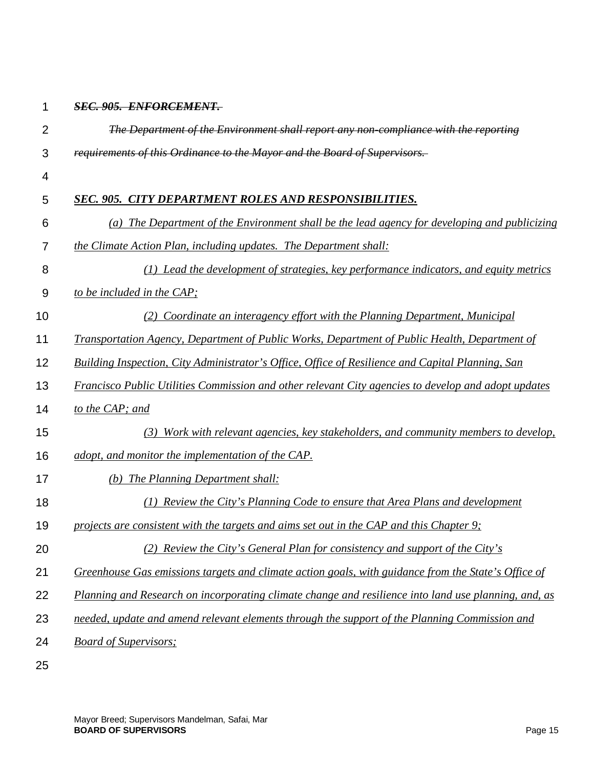## 1 *SEC. 905. ENFORCEMENT.*

| $\overline{2}$ | The Department of the Environment shall report any non-compliance with the reporting                    |
|----------------|---------------------------------------------------------------------------------------------------------|
| 3              | requirements of this Ordinance to the Mayor and the Board of Supervisors.                               |
| 4              |                                                                                                         |
| 5              | <b>SEC. 905. CITY DEPARTMENT ROLES AND RESPONSIBILITIES.</b>                                            |
| 6              | (a) The Department of the Environment shall be the lead agency for developing and publicizing           |
| 7              | the Climate Action Plan, including updates. The Department shall:                                       |
| 8              | (1) Lead the development of strategies, key performance indicators, and equity metrics                  |
| 9              | to be included in the CAP;                                                                              |
| 10             | Coordinate an interagency effort with the Planning Department, Municipal<br>(2)                         |
| 11             | Transportation Agency, Department of Public Works, Department of Public Health, Department of           |
| 12             | <b>Building Inspection, City Administrator's Office, Office of Resilience and Capital Planning, San</b> |
| 13             | Francisco Public Utilities Commission and other relevant City agencies to develop and adopt updates     |
| 14             | to the CAP; and                                                                                         |
| 15             | Work with relevant agencies, key stakeholders, and community members to develop,<br>(3)                 |
| 16             | adopt, and monitor the implementation of the CAP.                                                       |
| 17             | (b) The Planning Department shall:                                                                      |
| 18             | (1) Review the City's Planning Code to ensure that Area Plans and development                           |
| 19             | projects are consistent with the targets and aims set out in the CAP and this Chapter 9;                |
| 20             | (2) Review the City's General Plan for consistency and support of the City's                            |
| 21             | Greenhouse Gas emissions targets and climate action goals, with guidance from the State's Office of     |
| 22             | Planning and Research on incorporating climate change and resilience into land use planning, and, as    |
| 23             | needed, update and amend relevant elements through the support of the Planning Commission and           |
| 24             | <b>Board of Supervisors;</b>                                                                            |
| $\sim$ $\sim$  |                                                                                                         |

25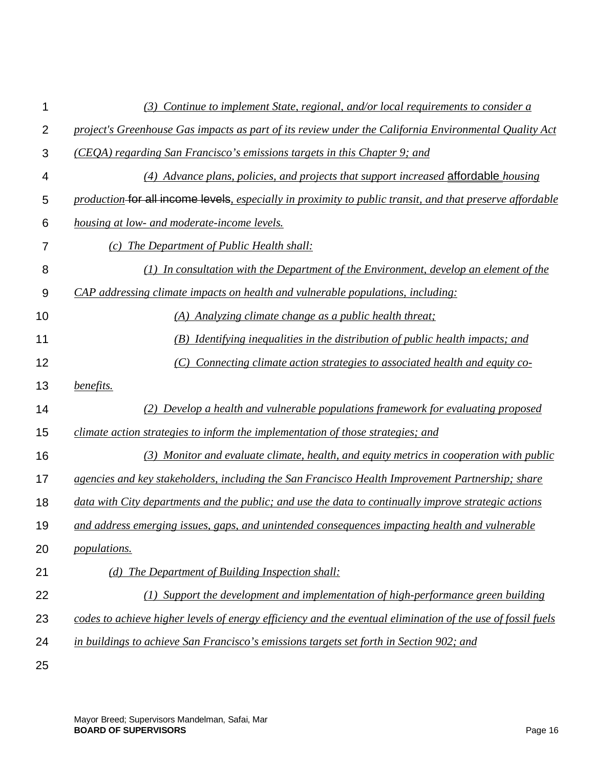| 1              | $(3)$ Continue to implement State, regional, and/or local requirements to consider a                        |
|----------------|-------------------------------------------------------------------------------------------------------------|
| $\overline{2}$ | project's Greenhouse Gas impacts as part of its review under the California Environmental Quality Act       |
| 3              | (CEQA) regarding San Francisco's emissions targets in this Chapter 9; and                                   |
| 4              | (4) Advance plans, policies, and projects that support increased affordable housing                         |
| 5              | production for all income levels, especially in proximity to public transit, and that preserve affordable   |
| 6              | housing at low- and moderate-income levels.                                                                 |
| 7              | (c) The Department of Public Health shall:                                                                  |
| 8              | (1) In consultation with the Department of the Environment, develop an element of the                       |
| 9              | CAP addressing climate impacts on health and vulnerable populations, including:                             |
| 10             | (A) Analyzing climate change as a public health threat;                                                     |
| 11             | Identifying inequalities in the distribution of public health impacts; and<br>( <i>B</i> )                  |
| 12             | Connecting climate action strategies to associated health and equity co-<br>(C)                             |
| 13             | benefits.                                                                                                   |
| 14             | (2) Develop a health and vulnerable populations framework for evaluating proposed                           |
| 15             | climate action strategies to inform the implementation of those strategies; and                             |
| 16             | (3) Monitor and evaluate climate, health, and equity metrics in cooperation with public                     |
| 17             | agencies and key stakeholders, including the San Francisco Health Improvement Partnership; share            |
| 18             | data with City departments and the public; and use the data to continually improve strategic actions        |
| 19             | and address emerging issues, gaps, and unintended consequences impacting health and vulnerable              |
| 20             | <i>populations.</i>                                                                                         |
| 21             | (d) The Department of Building Inspection shall:                                                            |
| 22             | (1) Support the development and implementation of high-performance green building                           |
| 23             | codes to achieve higher levels of energy efficiency and the eventual elimination of the use of fossil fuels |
| 24             | in buildings to achieve San Francisco's emissions targets set forth in Section 902; and                     |
| 25             |                                                                                                             |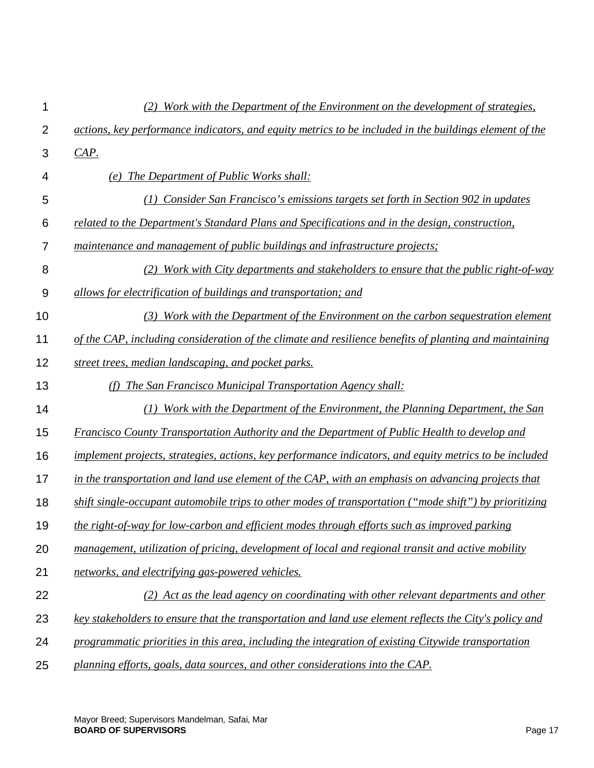| 1              | (2)<br>Work with the Department of the Environment on the development of strategies,                   |
|----------------|--------------------------------------------------------------------------------------------------------|
| $\overline{2}$ | actions, key performance indicators, and equity metrics to be included in the buildings element of the |
| 3              | CAP.                                                                                                   |
| 4              | (e) The Department of Public Works shall:                                                              |
| 5              | (1) Consider San Francisco's emissions targets set forth in Section 902 in updates                     |
| 6              | related to the Department's Standard Plans and Specifications and in the design, construction,         |
| $\overline{7}$ | maintenance and management of public buildings and infrastructure projects;                            |
| 8              | (2) Work with City departments and stakeholders to ensure that the public right-of-way                 |
| 9              | allows for electrification of buildings and transportation; and                                        |
| 10             | (3) Work with the Department of the Environment on the carbon sequestration element                    |
| 11             | of the CAP, including consideration of the climate and resilience benefits of planting and maintaining |
| 12             | street trees, median landscaping, and pocket parks.                                                    |
| 13             | The San Francisco Municipal Transportation Agency shall:<br>(f)                                        |
| 14             | (1) Work with the Department of the Environment, the Planning Department, the San                      |
| 15             | <b>Francisco County Transportation Authority and the Department of Public Health to develop and</b>    |
| 16             | implement projects, strategies, actions, key performance indicators, and equity metrics to be included |
| 17             | in the transportation and land use element of the CAP, with an emphasis on advancing projects that     |
| 18             | shift single-occupant automobile trips to other modes of transportation ("mode shift") by prioritizing |
| 19             | the right-of-way for low-carbon and efficient modes through efforts such as improved parking           |
| 20             | management, utilization of pricing, development of local and regional transit and active mobility      |
| 21             | networks, and electrifying gas-powered vehicles.                                                       |
| 22             | (2) Act as the lead agency on coordinating with other relevant departments and other                   |
| 23             | key stakeholders to ensure that the transportation and land use element reflects the City's policy and |
| 24             | programmatic priorities in this area, including the integration of existing Citywide transportation    |
| 25             | planning efforts, goals, data sources, and other considerations into the CAP.                          |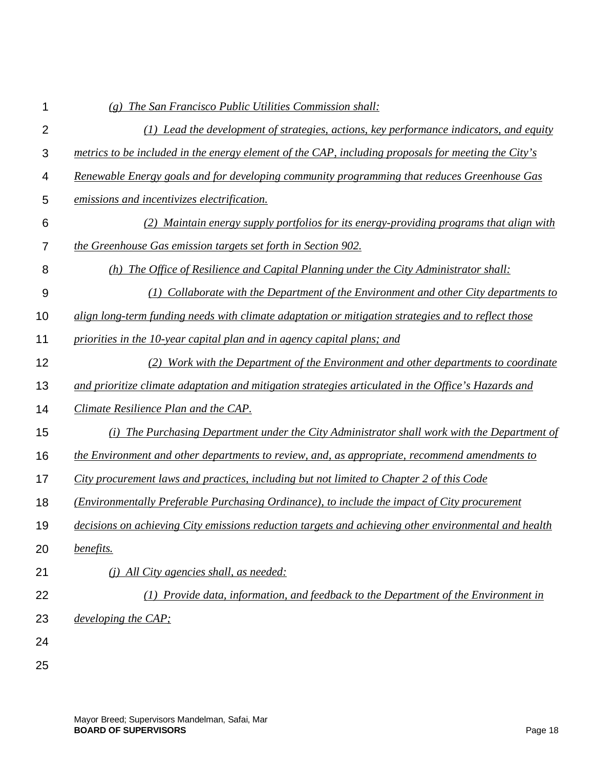| 1              | (g) The San Francisco Public Utilities Commission shall:                                             |
|----------------|------------------------------------------------------------------------------------------------------|
| $\overline{2}$ | (1) Lead the development of strategies, actions, key performance indicators, and equity              |
| 3              | metrics to be included in the energy element of the CAP, including proposals for meeting the City's  |
| 4              | Renewable Energy goals and for developing community programming that reduces Greenhouse Gas          |
| 5              | emissions and incentivizes electrification.                                                          |
| 6              | (2) Maintain energy supply portfolios for its energy-providing programs that align with              |
| 7              | the Greenhouse Gas emission targets set forth in Section 902.                                        |
| 8              | (h) The Office of Resilience and Capital Planning under the City Administrator shall:                |
| 9              | Collaborate with the Department of the Environment and other City departments to<br>(I)              |
| 10             | align long-term funding needs with climate adaptation or mitigation strategies and to reflect those  |
| 11             | priorities in the 10-year capital plan and in agency capital plans; and                              |
| 12             | Work with the Department of the Environment and other departments to coordinate<br>(2)               |
| 13             | and prioritize climate adaptation and mitigation strategies articulated in the Office's Hazards and  |
| 14             | Climate Resilience Plan and the CAP.                                                                 |
| 15             | (i) The Purchasing Department under the City Administrator shall work with the Department of         |
| 16             | the Environment and other departments to review, and, as appropriate, recommend amendments to        |
| 17             | City procurement laws and practices, including but not limited to Chapter 2 of this Code             |
| 18             | (Environmentally Preferable Purchasing Ordinance), to include the impact of City procurement         |
| 19             | decisions on achieving City emissions reduction targets and achieving other environmental and health |
| 20             | benefits.                                                                                            |
| 21             | (j) All City agencies shall, as needed:                                                              |
| 22             | (1) Provide data, information, and feedback to the Department of the Environment in                  |
| 23             | developing the CAP;                                                                                  |
| 24             |                                                                                                      |
| 25             |                                                                                                      |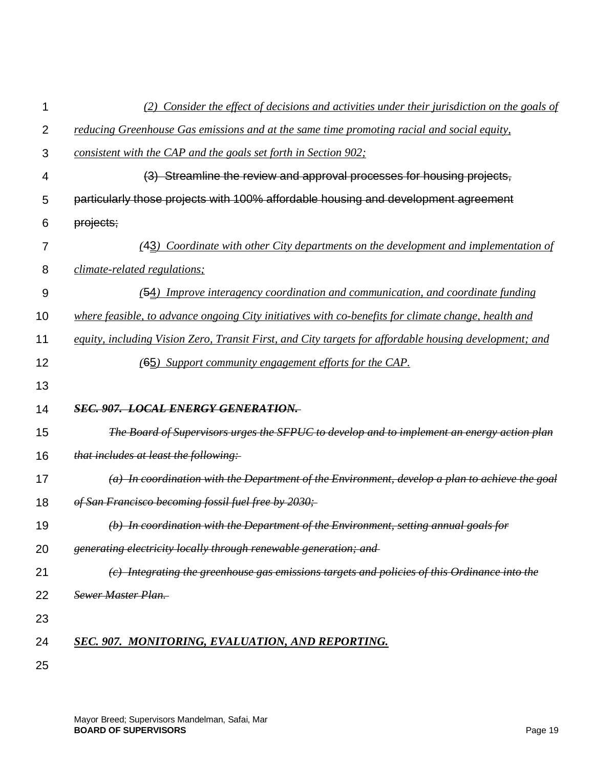| 1              | (2) Consider the effect of decisions and activities under their jurisdiction on the goals of           |
|----------------|--------------------------------------------------------------------------------------------------------|
| $\overline{2}$ | reducing Greenhouse Gas emissions and at the same time promoting racial and social equity,             |
| 3              | consistent with the CAP and the goals set forth in Section 902;                                        |
| 4              | (3) Streamline the review and approval processes for housing projects,                                 |
| 5              | particularly those projects with 100% affordable housing and development agreement                     |
| 6              | projects;                                                                                              |
| 7              | (43) Coordinate with other City departments on the development and implementation of                   |
| 8              | <i>climate-related regulations;</i>                                                                    |
| 9              | (54) Improve interagency coordination and communication, and coordinate funding                        |
| 10             | where feasible, to advance ongoing City initiatives with co-benefits for climate change, health and    |
| 11             | equity, including Vision Zero, Transit First, and City targets for affordable housing development; and |
| 12             | (65) Support community engagement efforts for the CAP.                                                 |
| 13             |                                                                                                        |
| 14             | <b>SEC. 907. LOCAL ENERGY GENERATION.</b>                                                              |
| 15             | The Board of Supervisors urges the SFPUC to develop and to implement an energy action plan             |
| 16             | that includes at least the following:                                                                  |
| 17             | $(a)$ In coordination with the Department of the Environment, develop a plan to achieve the goal       |
| 18             | of San Francisco becoming fossil fuel free by 2030;                                                    |
| 19             | (b) In coordination with the Department of the Environment, setting annual goals for                   |
| 20             | generating electricity locally through renewable generation; and                                       |
| 21             | (c) Integrating the greenhouse gas emissions targets and policies of this Ordinance into the           |
| 22             | <b>Sewer Master Plan.</b>                                                                              |
| 23             |                                                                                                        |
| 24             | SEC. 907. MONITORING, EVALUATION, AND REPORTING.                                                       |
| 25             |                                                                                                        |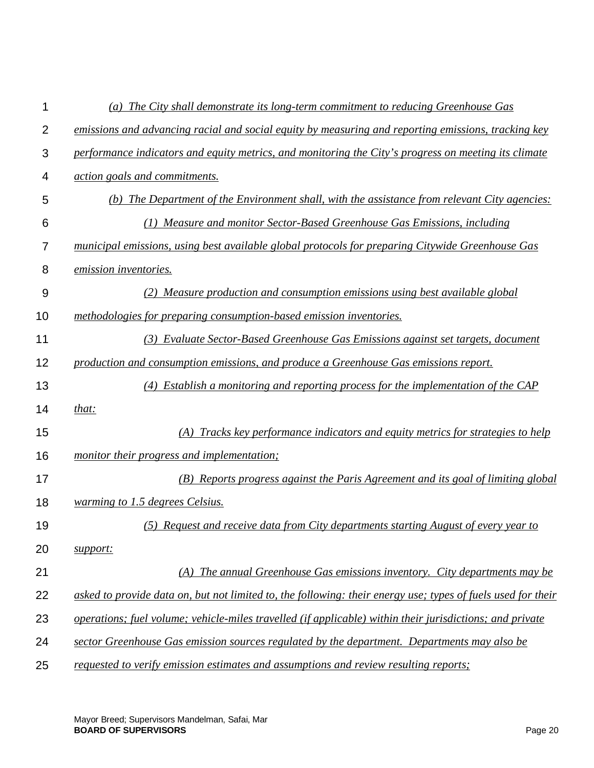| 1              | (a) The City shall demonstrate its long-term commitment to reducing Greenhouse Gas                           |
|----------------|--------------------------------------------------------------------------------------------------------------|
| $\overline{2}$ | emissions and advancing racial and social equity by measuring and reporting emissions, tracking key          |
| 3              | performance indicators and equity metrics, and monitoring the City's progress on meeting its climate         |
| 4              | action goals and commitments.                                                                                |
| 5              | (b) The Department of the Environment shall, with the assistance from relevant City agencies:                |
| 6              | (1) Measure and monitor Sector-Based Greenhouse Gas Emissions, including                                     |
| 7              | municipal emissions, using best available global protocols for preparing Citywide Greenhouse Gas             |
| 8              | emission inventories.                                                                                        |
| 9              | (2) Measure production and consumption emissions using best available global                                 |
| 10             | methodologies for preparing consumption-based emission inventories.                                          |
| 11             | (3) Evaluate Sector-Based Greenhouse Gas Emissions against set targets, document                             |
| 12             | production and consumption emissions, and produce a Greenhouse Gas emissions report.                         |
| 13             | (4) Establish a monitoring and reporting process for the implementation of the CAP                           |
| 14             | that:                                                                                                        |
| 15             | (A) Tracks key performance indicators and equity metrics for strategies to help                              |
| 16             | monitor their progress and implementation;                                                                   |
| 17             | (B) Reports progress against the Paris Agreement and its goal of limiting global                             |
| 18             | warming to 1.5 degrees Celsius.                                                                              |
| 19             | (5) Request and receive data from City departments starting August of every year to                          |
| 20             | support:                                                                                                     |
| 21             | (A) The annual Greenhouse Gas emissions inventory. City departments may be                                   |
| 22             | asked to provide data on, but not limited to, the following: their energy use; types of fuels used for their |
| 23             | operations; fuel volume; vehicle-miles travelled (if applicable) within their jurisdictions; and private     |
| 24             | sector Greenhouse Gas emission sources regulated by the department. Departments may also be                  |
| 25             | requested to verify emission estimates and assumptions and review resulting reports;                         |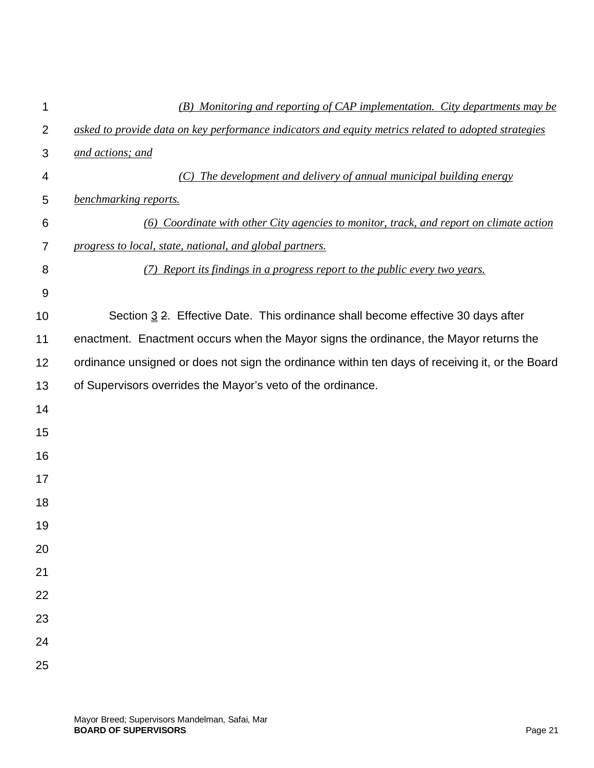| 1              | (B) Monitoring and reporting of CAP implementation. City departments may be                          |
|----------------|------------------------------------------------------------------------------------------------------|
| $\overline{2}$ | asked to provide data on key performance indicators and equity metrics related to adopted strategies |
| 3              | and actions; and                                                                                     |
| 4              | The development and delivery of annual municipal building energy                                     |
| 5              | benchmarking reports.                                                                                |
| 6              | (6) Coordinate with other City agencies to monitor, track, and report on climate action              |
| 7              | progress to local, state, national, and global partners.                                             |
| 8              | (7) Report its findings in a progress report to the public every two years.                          |
| 9              |                                                                                                      |
| 10             | Section 3 2. Effective Date. This ordinance shall become effective 30 days after                     |
| 11             | enactment. Enactment occurs when the Mayor signs the ordinance, the Mayor returns the                |
| 12             | ordinance unsigned or does not sign the ordinance within ten days of receiving it, or the Board      |
| 13             | of Supervisors overrides the Mayor's veto of the ordinance.                                          |
| 14             |                                                                                                      |
| 15             |                                                                                                      |
| 16             |                                                                                                      |
| 17             |                                                                                                      |
| 18             |                                                                                                      |
| 19             |                                                                                                      |
| 20             |                                                                                                      |
| 21             |                                                                                                      |
| 22             |                                                                                                      |
| 23             |                                                                                                      |
| 24             |                                                                                                      |
| 25             |                                                                                                      |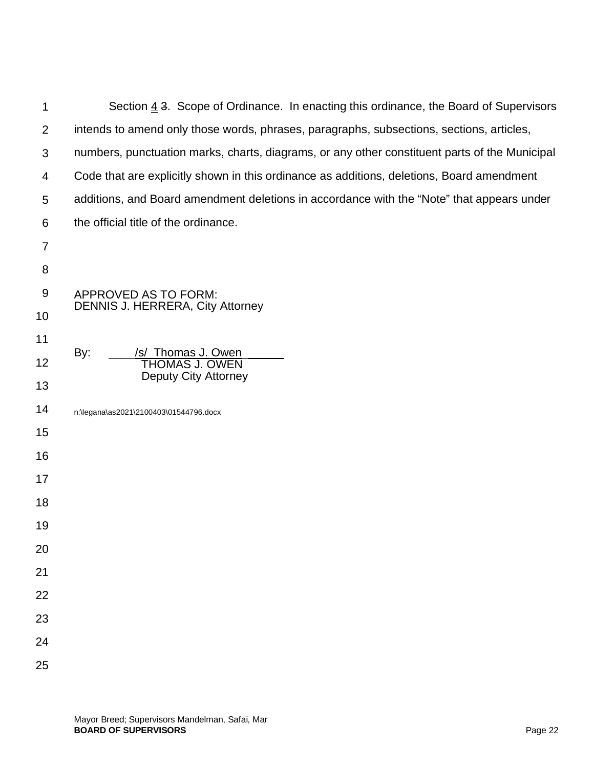| 1              | Section $\underline{4}$ 3. Scope of Ordinance. In enacting this ordinance, the Board of Supervisors |
|----------------|-----------------------------------------------------------------------------------------------------|
| 2              | intends to amend only those words, phrases, paragraphs, subsections, sections, articles,            |
| 3              | numbers, punctuation marks, charts, diagrams, or any other constituent parts of the Municipal       |
| 4              | Code that are explicitly shown in this ordinance as additions, deletions, Board amendment           |
| 5              | additions, and Board amendment deletions in accordance with the "Note" that appears under           |
| 6              | the official title of the ordinance.                                                                |
| $\overline{7}$ |                                                                                                     |
| $\,8\,$        |                                                                                                     |
| 9              | APPROVED AS TO FORM:                                                                                |
| 10             | <b>DENNIS J. HERRERA, City Attorney</b>                                                             |
| 11             |                                                                                                     |
| 12             | /s/ Thomas J. Owen<br>By:<br><b>THOMAS J. OWEN</b><br>Deputy City Attorney                          |
| 13             |                                                                                                     |
| 14             | n:\legana\as2021\2100403\01544796.docx                                                              |
| 15             |                                                                                                     |
| 16             |                                                                                                     |
| 17             |                                                                                                     |
| 18             |                                                                                                     |
| 19             |                                                                                                     |
| 20             |                                                                                                     |
| 21             |                                                                                                     |
| 22             |                                                                                                     |
| 23             |                                                                                                     |
| 24             |                                                                                                     |
| 25             |                                                                                                     |
|                |                                                                                                     |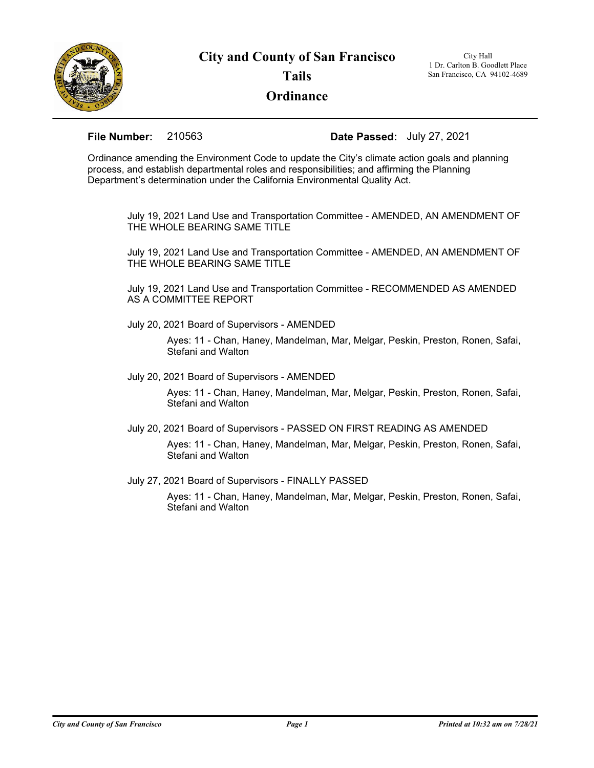

## **Tails**

## **Ordinance**

1 Dr. Carlton B. Goodlett Place San Francisco, CA 94102-4689

**File Number:** 210563 **Date Passed:** July 27, 2021

Ordinance amending the Environment Code to update the City's climate action goals and planning process, and establish departmental roles and responsibilities; and affirming the Planning Department's determination under the California Environmental Quality Act.

July 19, 2021 Land Use and Transportation Committee - AMENDED, AN AMENDMENT OF THE WHOLE BEARING SAME TITLE

July 19, 2021 Land Use and Transportation Committee - AMENDED, AN AMENDMENT OF THE WHOLE BEARING SAME TITLE

July 19, 2021 Land Use and Transportation Committee - RECOMMENDED AS AMENDED AS A COMMITTEE REPORT

July 20, 2021 Board of Supervisors - AMENDED

Ayes: 11 - Chan, Haney, Mandelman, Mar, Melgar, Peskin, Preston, Ronen, Safai, Stefani and Walton

July 20, 2021 Board of Supervisors - AMENDED

Ayes: 11 - Chan, Haney, Mandelman, Mar, Melgar, Peskin, Preston, Ronen, Safai, Stefani and Walton

July 20, 2021 Board of Supervisors - PASSED ON FIRST READING AS AMENDED

Ayes: 11 - Chan, Haney, Mandelman, Mar, Melgar, Peskin, Preston, Ronen, Safai, Stefani and Walton

July 27, 2021 Board of Supervisors - FINALLY PASSED

Ayes: 11 - Chan, Haney, Mandelman, Mar, Melgar, Peskin, Preston, Ronen, Safai, Stefani and Walton